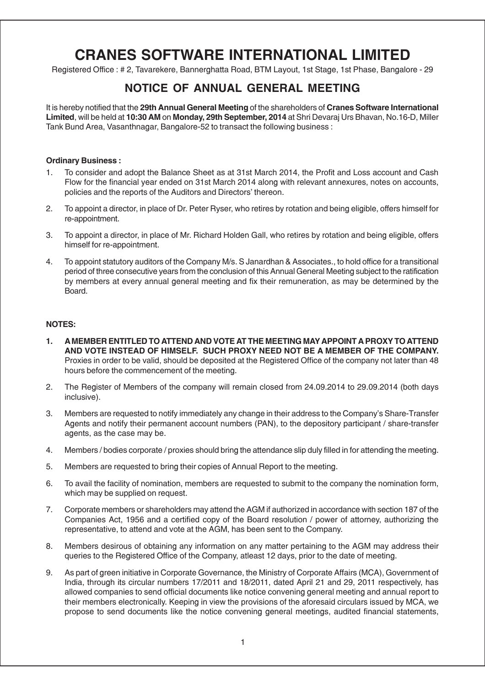## **Cranes Software International Limited** *Notice of AGM 2013 - 2014* **CRANES SOFTWARE INTERNATIONAL LIMITED**

Registered Office : # 2, Tavarekere, Bannerghatta Road, BTM Layout, 1st Stage, 1st Phase, Bangalore - 29

### **NOTICE OF ANNUAL GENERAL MEETING**

It is hereby notified that the **29th Annual General Meeting** of the shareholders of **Cranes Software International Limited**, will be held at **10:30 AM** on **Monday, 29th September, 2014** at Shri Devaraj Urs Bhavan, No.16-D, Miller Tank Bund Area, Vasanthnagar, Bangalore-52 to transact the following business :

#### **Ordinary Business :**

- 1. To consider and adopt the Balance Sheet as at 31st March 2014, the Profit and Loss account and Cash Flow for the financial year ended on 31st March 2014 along with relevant annexures, notes on accounts, policies and the reports of the Auditors and Directors' thereon.
- 2. To appoint a director, in place of Dr. Peter Ryser, who retires by rotation and being eligible, offers himself for re-appointment.
- 3. To appoint a director, in place of Mr. Richard Holden Gall, who retires by rotation and being eligible, offers himself for re-appointment.
- 4. To appoint statutory auditors of the Company M/s. S Janardhan & Associates., to hold office for a transitional period of three consecutive years from the conclusion of this Annual General Meeting subject to the ratification by members at every annual general meeting and fix their remuneration, as may be determined by the Board.

#### **NOTES:**

- **1. A MEMBER ENTITLED TO ATTEND AND VOTE AT THE MEETING MAY APPOINT A PROXY TO ATTEND AND VOTE INSTEAD OF HIMSELF. SUCH PROXY NEED NOT BE A MEMBER OF THE COMPANY.** Proxies in order to be valid, should be deposited at the Registered Office of the company not later than 48 hours before the commencement of the meeting.
- 2. The Register of Members of the company will remain closed from 24.09.2014 to 29.09.2014 (both days inclusive).
- 3. Members are requested to notify immediately any change in their address to the Company's Share-Transfer Agents and notify their permanent account numbers (PAN), to the depository participant / share-transfer agents, as the case may be.
- 4. Members / bodies corporate / proxies should bring the attendance slip duly filled in for attending the meeting.
- 5. Members are requested to bring their copies of Annual Report to the meeting.
- 6. To avail the facility of nomination, members are requested to submit to the company the nomination form, which may be supplied on request.
- 7. Corporate members or shareholders may attend the AGM if authorized in accordance with section 187 of the Companies Act, 1956 and a certified copy of the Board resolution / power of attorney, authorizing the representative, to attend and vote at the AGM, has been sent to the Company.
- 8. Members desirous of obtaining any information on any matter pertaining to the AGM may address their queries to the Registered Office of the Company, atleast 12 days, prior to the date of meeting.
- 9. As part of green initiative in Corporate Governance, the Ministry of Corporate Affairs (MCA), Government of India, through its circular numbers 17/2011 and 18/2011, dated April 21 and 29, 2011 respectively, has allowed companies to send official documents like notice convening general meeting and annual report to their members electronically. Keeping in view the provisions of the aforesaid circulars issued by MCA, we propose to send documents like the notice convening general meetings, audited financial statements,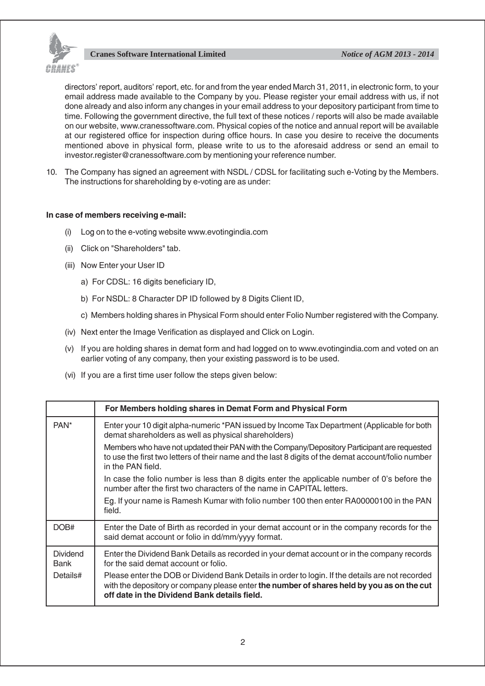

directors' report, auditors' report, etc. for and from the year ended March 31, 2011, in electronic form, to your email address made available to the Company by you. Please register your email address with us, if not done already and also inform any changes in your email address to your depository participant from time to time. Following the government directive, the full text of these notices / reports will also be made available on our website, www.cranessoftware.com. Physical copies of the notice and annual report will be available at our registered office for inspection during office hours. In case you desire to receive the documents mentioned above in physical form, please write to us to the aforesaid address or send an email to investor.register@cranessoftware.com by mentioning your reference number.

10. The Company has signed an agreement with NSDL / CDSL for facilitating such e-Voting by the Members. The instructions for shareholding by e-voting are as under:

#### **In case of members receiving e-mail:**

- (i) Log on to the e-voting website www.evotingindia.com
- (ii) Click on "Shareholders" tab.
- (iii) Now Enter your User ID
	- a) For CDSL: 16 digits beneficiary ID,
	- b) For NSDL: 8 Character DP ID followed by 8 Digits Client ID,
	- c) Members holding shares in Physical Form should enter Folio Number registered with the Company.
- (iv) Next enter the Image Verification as displayed and Click on Login.
- (v) If you are holding shares in demat form and had logged on to www.evotingindia.com and voted on an earlier voting of any company, then your existing password is to be used.
- (vi) If you are a first time user follow the steps given below:

|                         | For Members holding shares in Demat Form and Physical Form                                                                                                                                                                                     |  |
|-------------------------|------------------------------------------------------------------------------------------------------------------------------------------------------------------------------------------------------------------------------------------------|--|
| PAN <sup>*</sup>        | Enter your 10 digit alpha-numeric *PAN issued by Income Tax Department (Applicable for both<br>demat shareholders as well as physical shareholders)                                                                                            |  |
|                         | Members who have not updated their PAN with the Company/Depository Participant are requested<br>to use the first two letters of their name and the last 8 digits of the demat account/folio number<br>in the PAN field.                        |  |
|                         | In case the folio number is less than 8 digits enter the applicable number of 0's before the<br>number after the first two characters of the name in CAPITAL letters.                                                                          |  |
|                         | Eg. If your name is Ramesh Kumar with folio number 100 then enter RA00000100 in the PAN<br>field.                                                                                                                                              |  |
| DOB#                    | Enter the Date of Birth as recorded in your demat account or in the company records for the<br>said demat account or folio in dd/mm/yyyy format.                                                                                               |  |
| <b>Dividend</b><br>Bank | Enter the Dividend Bank Details as recorded in your demat account or in the company records<br>for the said demat account or folio.                                                                                                            |  |
| Details#                | Please enter the DOB or Dividend Bank Details in order to login. If the details are not recorded<br>with the depository or company please enter the number of shares held by you as on the cut<br>off date in the Dividend Bank details field. |  |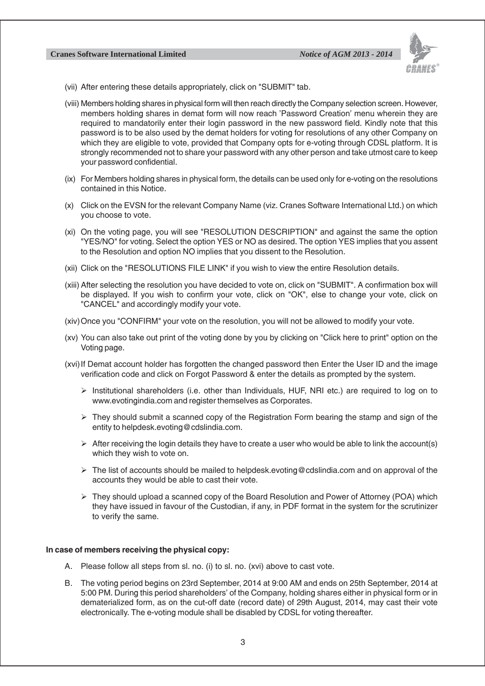

- (vii) After entering these details appropriately, click on "SUBMIT" tab.
- (viii) Members holding shares in physical form will then reach directly the Company selection screen. However, members holding shares in demat form will now reach 'Password Creation' menu wherein they are required to mandatorily enter their login password in the new password field. Kindly note that this password is to be also used by the demat holders for voting for resolutions of any other Company on which they are eligible to vote, provided that Company opts for e-voting through CDSL platform. It is strongly recommended not to share your password with any other person and take utmost care to keep your password confidential.
- (ix) For Members holding shares in physical form, the details can be used only for e-voting on the resolutions contained in this Notice.
- (x) Click on the EVSN for the relevant Company Name (viz. Cranes Software International Ltd.) on which you choose to vote.
- (xi) On the voting page, you will see "RESOLUTION DESCRIPTION" and against the same the option "YES/NO" for voting. Select the option YES or NO as desired. The option YES implies that you assent to the Resolution and option NO implies that you dissent to the Resolution.
- (xii) Click on the "RESOLUTIONS FILE LINK" if you wish to view the entire Resolution details.
- (xiii) After selecting the resolution you have decided to vote on, click on "SUBMIT". A confirmation box will be displayed. If you wish to confirm your vote, click on "OK", else to change your vote, click on "CANCEL" and accordingly modify your vote.
- (xiv) Once you "CONFIRM" your vote on the resolution, you will not be allowed to modify your vote.
- (xv) You can also take out print of the voting done by you by clicking on "Click here to print" option on the Voting page.
- (xvi) If Demat account holder has forgotten the changed password then Enter the User ID and the image verification code and click on Forgot Password & enter the details as prompted by the system.
	- $\triangleright$  Institutional shareholders (i.e. other than Individuals, HUF, NRI etc.) are required to log on to www.evotingindia.com and register themselves as Corporates.
	- $\triangleright$  They should submit a scanned copy of the Registration Form bearing the stamp and sign of the entity to helpdesk.evoting@cdslindia.com.
	- $\triangleright$  After receiving the login details they have to create a user who would be able to link the account(s) which they wish to vote on.
	- $\triangleright$  The list of accounts should be mailed to helpdesk.evoting @cdslindia.com and on approval of the accounts they would be able to cast their vote.
	- $\triangleright$  They should upload a scanned copy of the Board Resolution and Power of Attorney (POA) which they have issued in favour of the Custodian, if any, in PDF format in the system for the scrutinizer to verify the same.

#### **In case of members receiving the physical copy:**

- A. Please follow all steps from sl. no. (i) to sl. no. (xvi) above to cast vote.
- B. The voting period begins on 23rd September, 2014 at 9:00 AM and ends on 25th September, 2014 at 5:00 PM. During this period shareholders' of the Company, holding shares either in physical form or in dematerialized form, as on the cut-off date (record date) of 29th August, 2014, may cast their vote electronically. The e-voting module shall be disabled by CDSL for voting thereafter.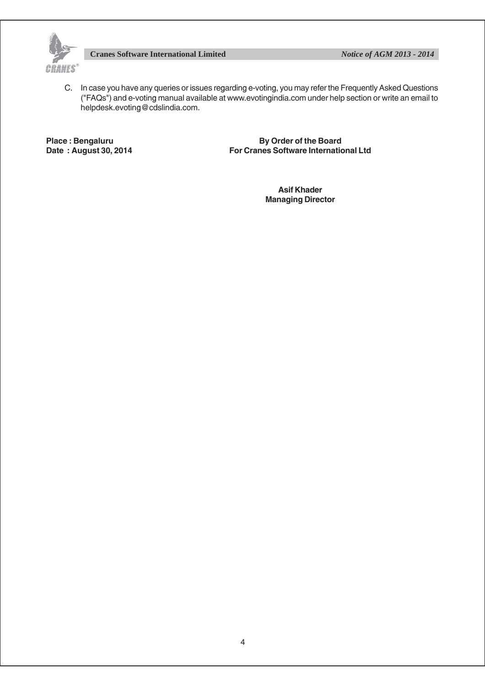

C. In case you have any queries or issues regarding e-voting, you may refer the Frequently Asked Questions ("FAQs") and e-voting manual available at www.evotingindia.com under help section or write an email to helpdesk.evoting@cdslindia.com.

Place : Bengaluru **Place : Bengaluru By Order of the Board**<br>Date : August 30, 2014 **By Order Software International By Order Software For Cranes Software International Ltd** 

> **Asif Khader Managing Director**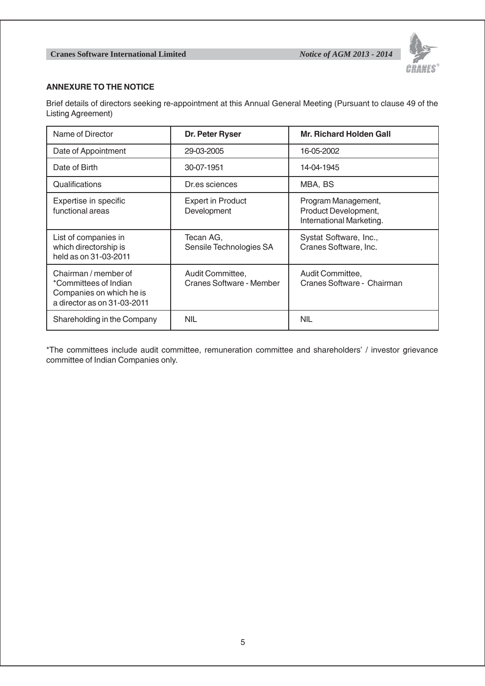

#### **ANNEXURE TO THE NOTICE**

Brief details of directors seeking re-appointment at this Annual General Meeting (Pursuant to clause 49 of the Listing Agreement)

| Name of Director                                                                                         | Dr. Peter Ryser                              | <b>Mr. Richard Holden Gall</b>                                          |
|----------------------------------------------------------------------------------------------------------|----------------------------------------------|-------------------------------------------------------------------------|
| Date of Appointment                                                                                      | 29-03-2005                                   | 16-05-2002                                                              |
| Date of Birth                                                                                            | 30-07-1951                                   | 14-04-1945                                                              |
| Qualifications                                                                                           | Dr.es sciences                               | MBA, BS                                                                 |
| Expertise in specific<br>functional areas                                                                | <b>Expert in Product</b><br>Development      | Program Management,<br>Product Development,<br>International Marketing. |
| List of companies in<br>which directorship is<br>held as on 31-03-2011                                   | Tecan AG,<br>Sensile Technologies SA         | Systat Software, Inc.,<br>Cranes Software, Inc.                         |
| Chairman / member of<br>*Committees of Indian<br>Companies on which he is<br>a director as on 31-03-2011 | Audit Committee,<br>Cranes Software - Member | Audit Committee,<br>Cranes Software - Chairman                          |
| Shareholding in the Company                                                                              | <b>NIL</b>                                   | <b>NIL</b>                                                              |

\*The committees include audit committee, remuneration committee and shareholders' / investor grievance committee of Indian Companies only.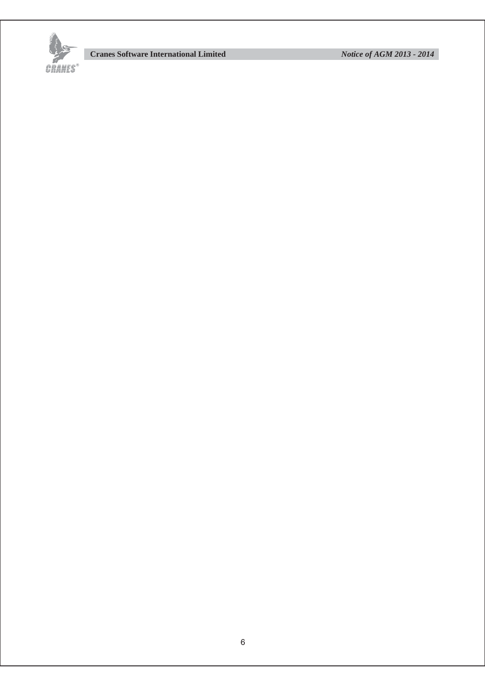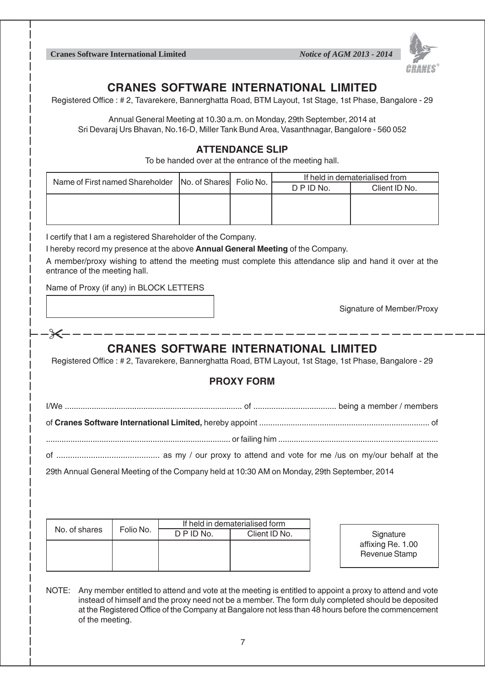**Cranes Software International Limited** *Notice of AGM 2013 - 2014* **CRANES SOFTWARE INTERNATIONAL LIMITED** Registered Office : # 2, Tavarekere, Bannerghatta Road, BTM Layout, 1st Stage, 1st Phase, Bangalore - 29 Annual General Meeting at 10.30 a.m. on Monday, 29th September, 2014 at Sri Devaraj Urs Bhavan, No.16-D, Miller Tank Bund Area, Vasanthnagar, Bangalore - 560 052 **ATTENDANCE SLIP** To be handed over at the entrance of the meeting hall. Name of First named Shareholder No. of Shares Folio No. If held in dematerialised from Client ID No. I certify that I am a registered Shareholder of the Company. I hereby record my presence at the above **Annual General Meeting** of the Company. A member/proxy wishing to attend the meeting must complete this attendance slip and hand it over at the entrance of the meeting hall. Name of Proxy (if any) in BLOCK LETTERS Signature of Member/Proxy  $\ast$ --------------------**CRANES SOFTWARE INTERNATIONAL LIMITED** Registered Office : # 2, Tavarekere, Bannerghatta Road, BTM Layout, 1st Stage, 1st Phase, Bangalore - 29 **PROXY FORM** I/We ............................................................................... of ..................................... being a member / members of **Cranes Software International Limited,** hereby appoint ............................................................................ of ................................................................................... or failing him ........................................................................ of ............................................. as my / our proxy to attend and vote for me /us on my/our behalf at the 29th Annual General Meeting of the Company held at 10:30 AM on Monday, 29th September, 2014 If held in dematerialised form<br>D P ID No. Client ID No No. of shares  $\vert$  Folio No. Client ID No. **Signature** affixing Re. 1.00 Revenue Stamp

NOTE: Any member entitled to attend and vote at the meeting is entitled to appoint a proxy to attend and vote instead of himself and the proxy need not be a member. The form duly completed should be deposited at the Registered Office of the Company at Bangalore not less than 48 hours before the commencement of the meeting.